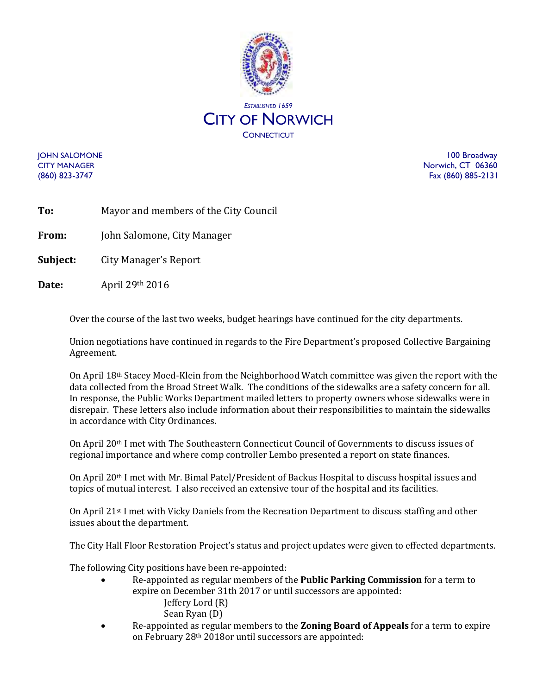

JOHN SALOMONE 100 Broadway CITY MANAGER Norwich, CT 06360 (860) 823-3747 Fax (860) 885-2131

| To: |  | Mayor and members of the City Council |
|-----|--|---------------------------------------|

**From:** John Salomone, City Manager

**Subject:** City Manager's Report

**Date:** April 29th 2016

Over the course of the last two weeks, budget hearings have continued for the city departments.

Union negotiations have continued in regards to the Fire Department's proposed Collective Bargaining Agreement.

On April 18th Stacey Moed-Klein from the Neighborhood Watch committee was given the report with the data collected from the Broad Street Walk. The conditions of the sidewalks are a safety concern for all. In response, the Public Works Department mailed letters to property owners whose sidewalks were in disrepair. These letters also include information about their responsibilities to maintain the sidewalks in accordance with City Ordinances.

On April 20th I met with The Southeastern Connecticut Council of Governments to discuss issues of regional importance and where comp controller Lembo presented a report on state finances.

On April 20th I met with Mr. Bimal Patel/President of Backus Hospital to discuss hospital issues and topics of mutual interest. I also received an extensive tour of the hospital and its facilities.

On April 21st I met with Vicky Daniels from the Recreation Department to discuss staffing and other issues about the department.

The City Hall Floor Restoration Project's status and project updates were given to effected departments.

The following City positions have been re-appointed:

- Re-appointed as regular members of the **Public Parking Commission** for a term to expire on December 31th 2017 or until successors are appointed: Jeffery Lord (R)
	- Sean Ryan (D)
- Re-appointed as regular members to the **Zoning Board of Appeals** for a term to expire on February 28th 2018or until successors are appointed: